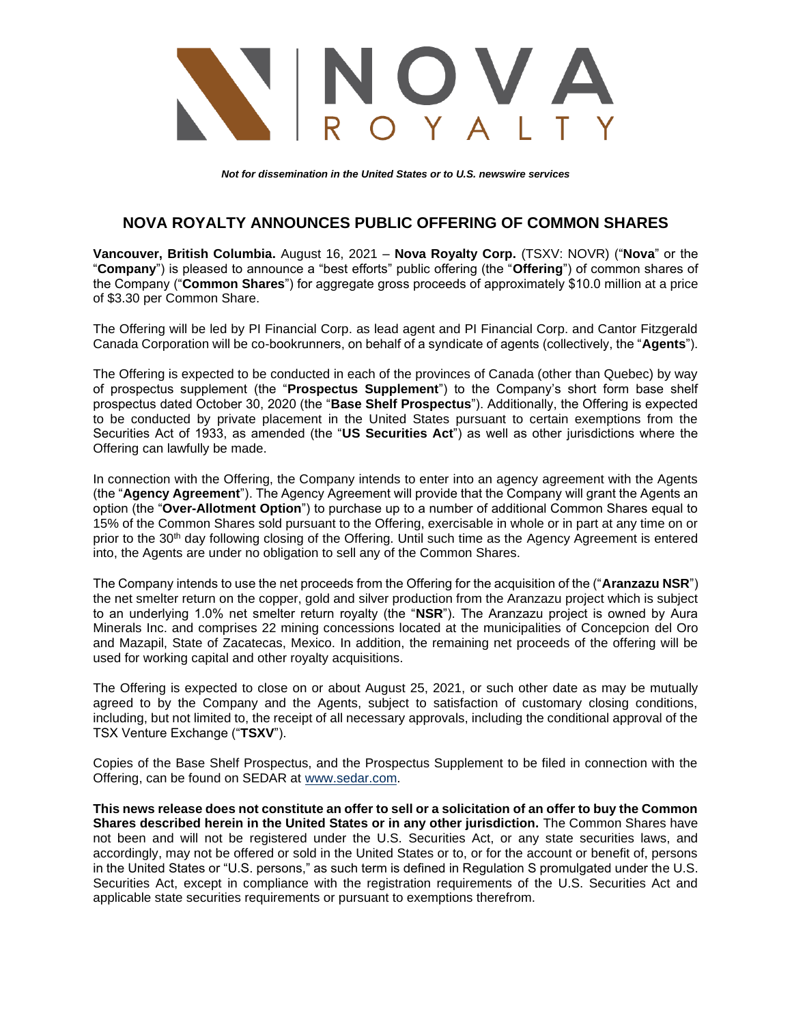

*Not for dissemination in the United States or to U.S. newswire services*

## **NOVA ROYALTY ANNOUNCES PUBLIC OFFERING OF COMMON SHARES**

**Vancouver, British Columbia.** August 16, 2021 – **Nova Royalty Corp.** (TSXV: NOVR) ("**Nova**" or the "**Company**") is pleased to announce a "best efforts" public offering (the "**Offering**") of common shares of the Company ("**Common Shares**") for aggregate gross proceeds of approximately \$10.0 million at a price of \$3.30 per Common Share.

The Offering will be led by PI Financial Corp. as lead agent and PI Financial Corp. and Cantor Fitzgerald Canada Corporation will be co-bookrunners, on behalf of a syndicate of agents (collectively, the "**Agents**").

The Offering is expected to be conducted in each of the provinces of Canada (other than Quebec) by way of prospectus supplement (the "**Prospectus Supplement**") to the Company's short form base shelf prospectus dated October 30, 2020 (the "**Base Shelf Prospectus**"). Additionally, the Offering is expected to be conducted by private placement in the United States pursuant to certain exemptions from the Securities Act of 1933, as amended (the "**US Securities Act**") as well as other jurisdictions where the Offering can lawfully be made.

In connection with the Offering, the Company intends to enter into an agency agreement with the Agents (the "**Agency Agreement**"). The Agency Agreement will provide that the Company will grant the Agents an option (the "**Over-Allotment Option**") to purchase up to a number of additional Common Shares equal to 15% of the Common Shares sold pursuant to the Offering, exercisable in whole or in part at any time on or prior to the 30th day following closing of the Offering. Until such time as the Agency Agreement is entered into, the Agents are under no obligation to sell any of the Common Shares.

The Company intends to use the net proceeds from the Offering for the acquisition of the ("**Aranzazu NSR**") the net smelter return on the copper, gold and silver production from the Aranzazu project which is subject to an underlying 1.0% net smelter return royalty (the "**NSR**"). The Aranzazu project is owned by Aura Minerals Inc. and comprises 22 mining concessions located at the municipalities of Concepcion del Oro and Mazapil, State of Zacatecas, Mexico. In addition, the remaining net proceeds of the offering will be used for working capital and other royalty acquisitions.

The Offering is expected to close on or about August 25, 2021, or such other date as may be mutually agreed to by the Company and the Agents, subject to satisfaction of customary closing conditions, including, but not limited to, the receipt of all necessary approvals, including the conditional approval of the TSX Venture Exchange ("**TSXV**").

Copies of the Base Shelf Prospectus, and the Prospectus Supplement to be filed in connection with the Offering, can be found on SEDAR at [www.sedar.com.](http://www.sedar.com/)

**This news release does not constitute an offer to sell or a solicitation of an offer to buy the Common Shares described herein in the United States or in any other jurisdiction.** The Common Shares have not been and will not be registered under the U.S. Securities Act, or any state securities laws, and accordingly, may not be offered or sold in the United States or to, or for the account or benefit of, persons in the United States or "U.S. persons," as such term is defined in Regulation S promulgated under the U.S. Securities Act, except in compliance with the registration requirements of the U.S. Securities Act and applicable state securities requirements or pursuant to exemptions therefrom.